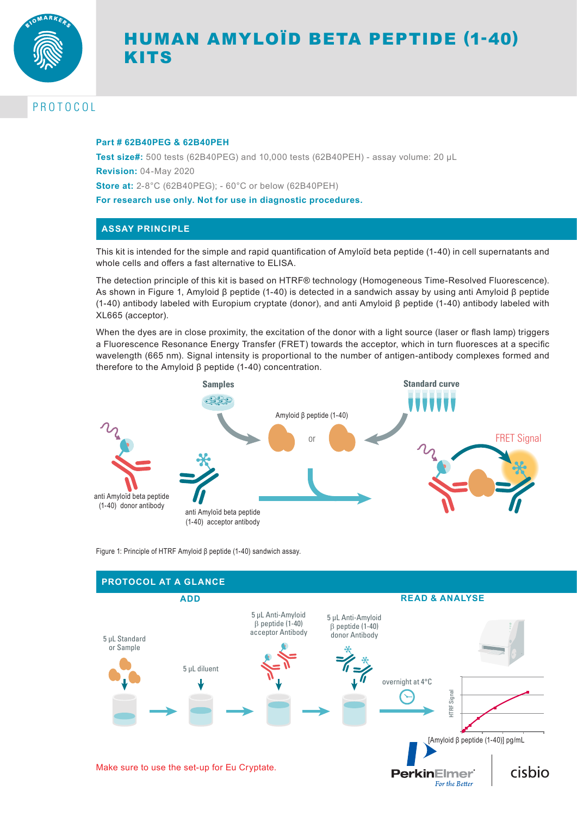

# HUMAN AMYLOÏD BETA PEPTIDE (1-40) KITS

# PROTOCOL

#### **Part # 62B40PEG & 62B40PEH**

**Test size#:** 500 tests (62B40PEG) and 10,000 tests (62B40PEH) - assay volume: 20 µL **Revision:** 04-May 2020 **Store at:** 2-8°C (62B40PEG); - 60°C or below (62B40PEH) **For research use only. Not for use in diagnostic procedures.**

## **ASSAY PRINCIPLE**

This kit is intended for the simple and rapid quantification of Amyloïd beta peptide (1-40) in cell supernatants and whole cells and offers a fast alternative to ELISA.

The detection principle of this kit is based on HTRF® technology (Homogeneous Time-Resolved Fluorescence). As shown in Figure 1, Amyloid β peptide (1-40) is detected in a sandwich assay by using anti Amyloid β peptide (1-40) antibody labeled with Europium cryptate (donor), and anti Amyloid β peptide (1-40) antibody labeled with XL665 (acceptor).

When the dyes are in close proximity, the excitation of the donor with a light source (laser or flash lamp) triggers a Fluorescence Resonance Energy Transfer (FRET) towards the acceptor, which in turn fluoresces at a specific wavelength (665 nm). Signal intensity is proportional to the number of antigen-antibody complexes formed and therefore to the Amyloid β peptide (1-40) concentration.



Figure 1: Principle of HTRF Amyloid β peptide (1-40) sandwich assay.

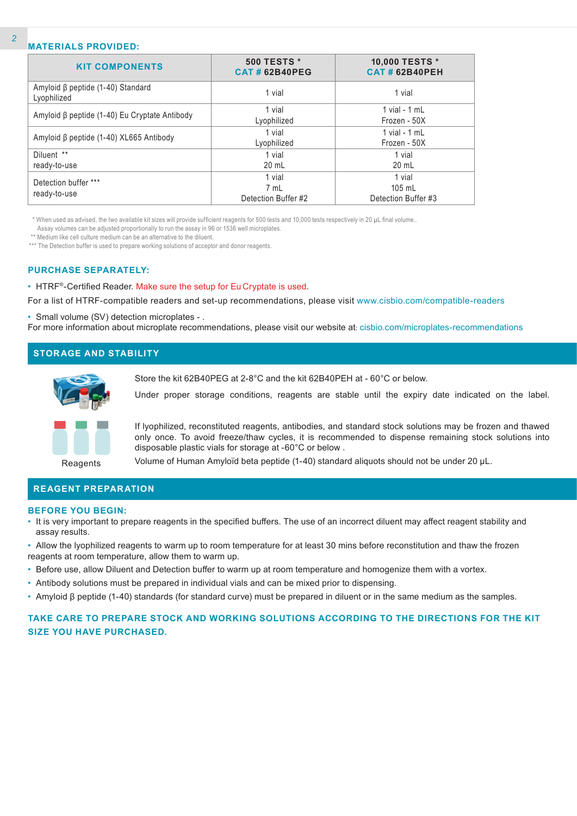#### **MATERIALS PROVIDED:**

| <b>KIT COMPONENTS</b>                                  | <b>500 TESTS *</b><br><b>CAT # 62B40PEG</b> | 10,000 TESTS *<br><b>CAT # 62B40PEH</b>   |
|--------------------------------------------------------|---------------------------------------------|-------------------------------------------|
| Amyloid $\beta$ peptide (1-40) Standard<br>Lyophilized | 1 vial                                      | 1 vial                                    |
| Amyloid β peptide (1-40) Eu Cryptate Antibody          | 1 vial<br>Lyophilized                       | 1 vial - $1$ mL<br>Frozen - 50X           |
| Amyloid β peptide (1-40) XL665 Antibody                | 1 vial<br>Lyophilized                       | $1$ vial - $1$ mL<br>Frozen - 50X         |
| Diluent **<br>ready-to-use                             | 1 vial<br>20 mL                             | 1 vial<br>20 mL                           |
| Detection buffer ***<br>ready-to-use                   | 1 vial<br>7 mL<br>Detection Buffer #2       | 1 vial<br>$105$ mL<br>Detection Buffer #3 |

\* When used as advised, the two available kit sizes will provide sufficient reagents for 500 tests and 10,000 tests respectively in 20 µL final volume..

Assay volumes can be adjusted proportionally to run the assay in 96 or 1536 well microplates.

\*\* Medium like cell culture medium can be an alternative to the diluent.

\*\*\* The Detection buffer is used to prepare working solutions of acceptor and donor reagents.

#### **PURCHASE SEPARATELY:**

• HTRF®-Certified Reader. Make sure the setup for Eu Cryptate is used.

For a list of HTRF-compatible readers and set-up recommendations, please visit www.cisbio.com/compatible-readers

• Small volume (SV) detection microplates - .

For more information about microplate recommendations, please visit our website at: cisbio.com/microplates-recommendations

### **STORAGE AND STABILITY**



Store the kit 62B40PEG at 2-8°C and the kit 62B40PEH at - 60°C or below.

Under proper storage conditions, reagents are stable until the expiry date indicated on the label.

If lyophilized, reconstituted reagents, antibodies, and standard stock solutions may be frozen and thawed only once. To avoid freeze/thaw cycles, it is recommended to dispense remaining stock solutions into disposable plastic vials for storage at -60°C or below .

**Reagents** 

Volume of Human Amyloïd beta peptide (1-40) standard aliquots should not be under 20 μL.

#### **REAGENT PREPARATION**

#### **BEFORE YOU BEGIN:**

- It is very important to prepare reagents in the specified buffers. The use of an incorrect diluent may affect reagent stability and assay results.
- Allow the lyophilized reagents to warm up to room temperature for at least 30 mins before reconstitution and thaw the frozen reagents at room temperature, allow them to warm up.
- Before use, allow Diluent and Detection buffer to warm up at room temperature and homogenize them with a vortex.
- Antibody solutions must be prepared in individual vials and can be mixed prior to dispensing.
- Amyloid β peptide (1-40) standards (for standard curve) must be prepared in diluent or in the same medium as the samples.

### **TAKE CARE TO PREPARE STOCK AND WORKING SOLUTIONS ACCORDING TO THE DIRECTIONS FOR THE KIT SIZE YOU HAVE PURCHASED.**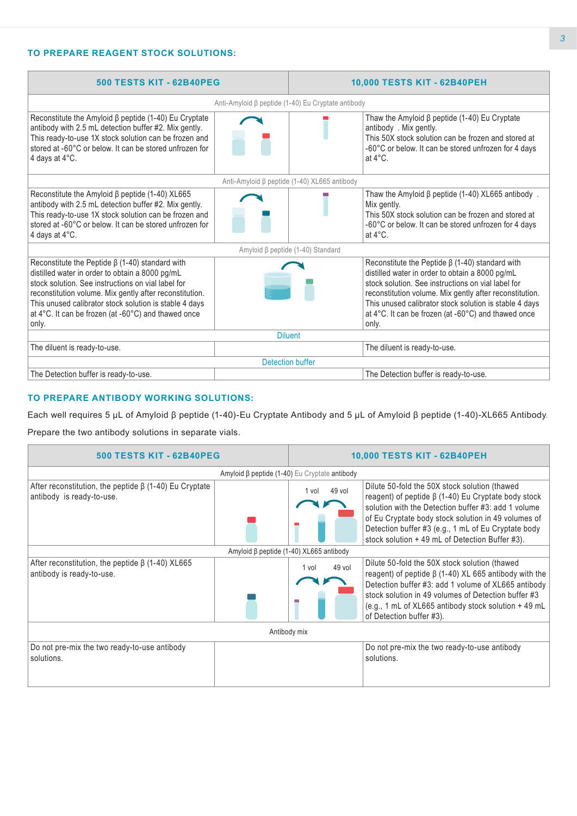## **TO PREPARE REAGENT STOCK SOLUTIONS:**

| <b>500 TESTS KIT - 62B40PEG</b>                                                                                                                                                                                                                                                                                                                     |                         | 10,000 TESTS KIT - 62B40PEH                                                                                                                                                                                                                                                                                                                         |  |  |
|-----------------------------------------------------------------------------------------------------------------------------------------------------------------------------------------------------------------------------------------------------------------------------------------------------------------------------------------------------|-------------------------|-----------------------------------------------------------------------------------------------------------------------------------------------------------------------------------------------------------------------------------------------------------------------------------------------------------------------------------------------------|--|--|
| Anti-Amyloid β peptide (1-40) Eu Cryptate antibody                                                                                                                                                                                                                                                                                                  |                         |                                                                                                                                                                                                                                                                                                                                                     |  |  |
| Reconstitute the Amyloid $\beta$ peptide (1-40) Eu Cryptate<br>antibody with 2.5 mL detection buffer #2. Mix gently.<br>This ready-to-use 1X stock solution can be frozen and<br>stored at -60°C or below. It can be stored unfrozen for<br>4 days at 4°C.                                                                                          |                         | Thaw the Amyloid $\beta$ peptide (1-40) Eu Cryptate<br>antibody . Mix gently.<br>This 50X stock solution can be frozen and stored at<br>-60°C or below. It can be stored unfrozen for 4 days<br>at $4^{\circ}$ C.                                                                                                                                   |  |  |
|                                                                                                                                                                                                                                                                                                                                                     |                         | Anti-Amyloid β peptide (1-40) XL665 antibody                                                                                                                                                                                                                                                                                                        |  |  |
| Reconstitute the Amyloid $\beta$ peptide (1-40) XL665<br>antibody with 2.5 mL detection buffer #2. Mix gently.<br>This ready-to-use 1X stock solution can be frozen and<br>stored at -60°C or below. It can be stored unfrozen for<br>4 days at $4^{\circ}$ C.                                                                                      |                         | Thaw the Amyloid $\beta$ peptide (1-40) XL665 antibody.<br>Mix gently.<br>This 50X stock solution can be frozen and stored at<br>-60°C or below. It can be stored unfrozen for 4 days<br>at $4^{\circ}$ C.                                                                                                                                          |  |  |
|                                                                                                                                                                                                                                                                                                                                                     |                         | Amyloid β peptide (1-40) Standard                                                                                                                                                                                                                                                                                                                   |  |  |
| Reconstitute the Peptide $\beta$ (1-40) standard with<br>distilled water in order to obtain a 8000 pg/mL<br>stock solution. See instructions on vial label for<br>reconstitution volume. Mix gently after reconstitution.<br>This unused calibrator stock solution is stable 4 days<br>at 4°C. It can be frozen (at -60°C) and thawed once<br>only. |                         | Reconstitute the Peptide $\beta$ (1-40) standard with<br>distilled water in order to obtain a 8000 pg/mL<br>stock solution. See instructions on vial label for<br>reconstitution volume. Mix gently after reconstitution.<br>This unused calibrator stock solution is stable 4 days<br>at 4°C. It can be frozen (at -60°C) and thawed once<br>only. |  |  |
| <b>Diluent</b>                                                                                                                                                                                                                                                                                                                                      |                         |                                                                                                                                                                                                                                                                                                                                                     |  |  |
| The diluent is ready-to-use.                                                                                                                                                                                                                                                                                                                        |                         | The diluent is ready-to-use.                                                                                                                                                                                                                                                                                                                        |  |  |
|                                                                                                                                                                                                                                                                                                                                                     | <b>Detection buffer</b> |                                                                                                                                                                                                                                                                                                                                                     |  |  |
| The Detection buffer is ready-to-use.                                                                                                                                                                                                                                                                                                               |                         | The Detection buffer is ready-to-use.                                                                                                                                                                                                                                                                                                               |  |  |

#### **TO PREPARE ANTIBODY WORKING SOLUTIONS:**

Each well requires 5 µL of Amyloid β peptide (1-40)-Eu Cryptate Antibody and 5 µL of Amyloid β peptide (1-40)-XL665 Antibody.

Prepare the two antibody solutions in separate vials.

| <b>500 TESTS KIT - 62B40PEG</b>                                                           |                 | 10,000 TESTS KIT - 62B40PEH                                                                                                                                                                                                                                                                                                        |  |  |  |
|-------------------------------------------------------------------------------------------|-----------------|------------------------------------------------------------------------------------------------------------------------------------------------------------------------------------------------------------------------------------------------------------------------------------------------------------------------------------|--|--|--|
| Amyloid $\beta$ peptide (1-40) Eu Cryptate antibody                                       |                 |                                                                                                                                                                                                                                                                                                                                    |  |  |  |
| After reconstitution, the peptide $\beta$ (1-40) Eu Cryptate<br>antibody is ready-to-use. | 49 vol<br>1 vol | Dilute 50-fold the 50X stock solution (thawed<br>reagent) of peptide $\beta$ (1-40) Eu Cryptate body stock<br>solution with the Detection buffer #3: add 1 volume<br>of Eu Cryptate body stock solution in 49 volumes of<br>Detection buffer #3 (e.g., 1 mL of Eu Cryptate body<br>stock solution + 49 mL of Detection Buffer #3). |  |  |  |
| Amyloid β peptide (1-40) XL665 antibody                                                   |                 |                                                                                                                                                                                                                                                                                                                                    |  |  |  |
| After reconstitution, the peptide $\beta$ (1-40) XL665<br>antibody is ready-to-use.       | 49 vol<br>1 vol | Dilute 50-fold the 50X stock solution (thawed<br>reagent) of peptide $\beta$ (1-40) XL 665 antibody with the<br>Detection buffer #3: add 1 volume of XL665 antibody<br>stock solution in 49 volumes of Detection buffer #3<br>(e.g., 1 mL of $XL665$ antibody stock solution $+$ 49 mL<br>of Detection buffer #3).                 |  |  |  |
| Antibody mix                                                                              |                 |                                                                                                                                                                                                                                                                                                                                    |  |  |  |
| Do not pre-mix the two ready-to-use antibody<br>solutions.                                |                 | Do not pre-mix the two ready-to-use antibody<br>solutions.                                                                                                                                                                                                                                                                         |  |  |  |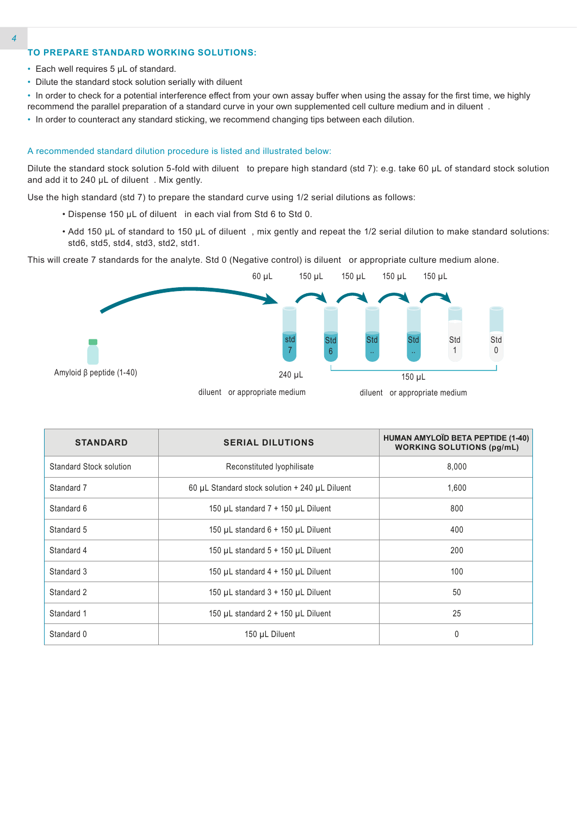## **TO PREPARE STANDARD WORKING SOLUTIONS:**

- Each well requires 5 µL of standard.
- Dilute the standard stock solution serially with diluent

• In order to check for a potential interference effect from your own assay buffer when using the assay for the first time, we highly recommend the parallel preparation of a standard curve in your own supplemented cell culture medium and in diluent .

• In order to counteract any standard sticking, we recommend changing tips between each dilution.

#### A recommended standard dilution procedure is listed and illustrated below:

Dilute the standard stock solution 5-fold with diluent to prepare high standard (std 7): e.g. take 60 µL of standard stock solution and add it to 240 µL of diluent . Mix gently.

Use the high standard (std 7) to prepare the standard curve using 1/2 serial dilutions as follows:

- Dispense 150 µL of diluent in each vial from Std 6 to Std 0.
- Add 150 µL of standard to 150 µL of diluent , mix gently and repeat the 1/2 serial dilution to make standard solutions: std6, std5, std4, std3, std2, std1.

This will create 7 standards for the analyte. Std 0 (Negative control) is diluent or appropriate culture medium alone.



| <b>STANDARD</b>         | <b>SERIAL DILUTIONS</b>                                  | HUMAN AMYLOÏD BETA PEPTIDE (1-40)<br><b>WORKING SOLUTIONS (pg/mL)</b> |
|-------------------------|----------------------------------------------------------|-----------------------------------------------------------------------|
| Standard Stock solution | Reconstituted lyophilisate                               | 8,000                                                                 |
| Standard 7              | 60 $\mu$ L Standard stock solution + 240 $\mu$ L Diluent | 1,600                                                                 |
| Standard 6              | 150 $\mu$ L standard 7 + 150 $\mu$ L Diluent             | 800                                                                   |
| Standard 5              | 150 $\mu$ L standard 6 + 150 $\mu$ L Diluent             | 400                                                                   |
| Standard 4              | 150 $\mu$ L standard 5 + 150 $\mu$ L Diluent             | 200                                                                   |
| Standard 3              | 150 $\mu$ L standard 4 + 150 $\mu$ L Diluent             | 100                                                                   |
| Standard 2              | 150 $\mu$ L standard 3 + 150 $\mu$ L Diluent             | 50                                                                    |
| Standard 1              | 150 $\mu$ L standard 2 + 150 $\mu$ L Diluent             | 25                                                                    |
| Standard 0              | 150 µL Diluent                                           | 0                                                                     |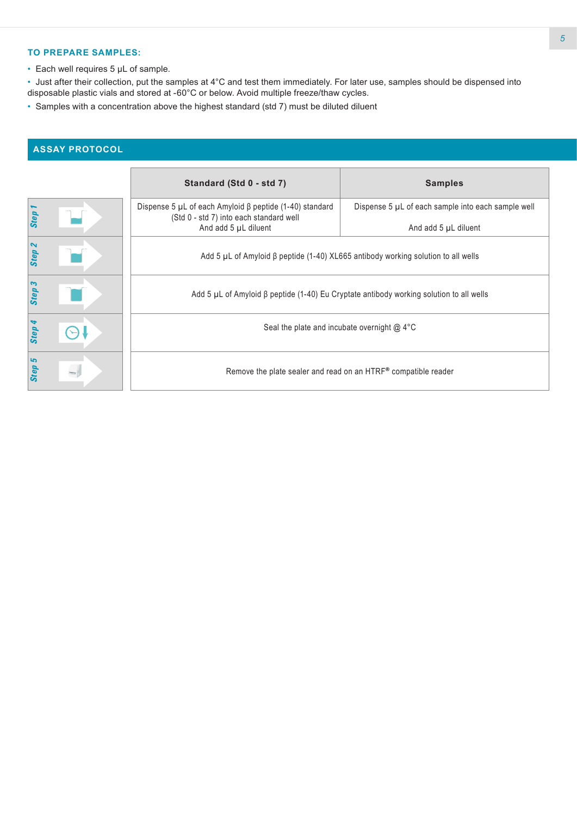#### **TO PREPARE SAMPLES:**

• Each well requires 5 µL of sample.

• Just after their collection, put the samples at 4°C and test them immediately. For later use, samples should be dispensed into disposable plastic vials and stored at -60°C or below. Avoid multiple freeze/thaw cycles.

• Samples with a concentration above the highest standard (std 7) must be diluted diluent

# **ASSAY PROTOCOL**

|                                   | Standard (Std 0 - std 7)                                                                                                              | <b>Samples</b>                                                             |  |  |  |
|-----------------------------------|---------------------------------------------------------------------------------------------------------------------------------------|----------------------------------------------------------------------------|--|--|--|
| Step                              | Dispense 5 $\mu$ L of each Amyloid $\beta$ peptide (1-40) standard<br>(Std 0 - std 7) into each standard well<br>And add 5 µL diluent | Dispense 5 µL of each sample into each sample well<br>And add 5 µL diluent |  |  |  |
| $\boldsymbol{\mathsf{N}}$<br>Step | Add 5 $\mu$ L of Amyloid $\beta$ peptide (1-40) XL665 antibody working solution to all wells                                          |                                                                            |  |  |  |
| Step                              | Add 5 $\mu$ L of Amyloid $\beta$ peptide (1-40) Eu Cryptate antibody working solution to all wells                                    |                                                                            |  |  |  |
| Step                              | Seal the plate and incubate overnight $@$ 4°C                                                                                         |                                                                            |  |  |  |
| 5<br>Step                         | Remove the plate sealer and read on an HTRF® compatible reader                                                                        |                                                                            |  |  |  |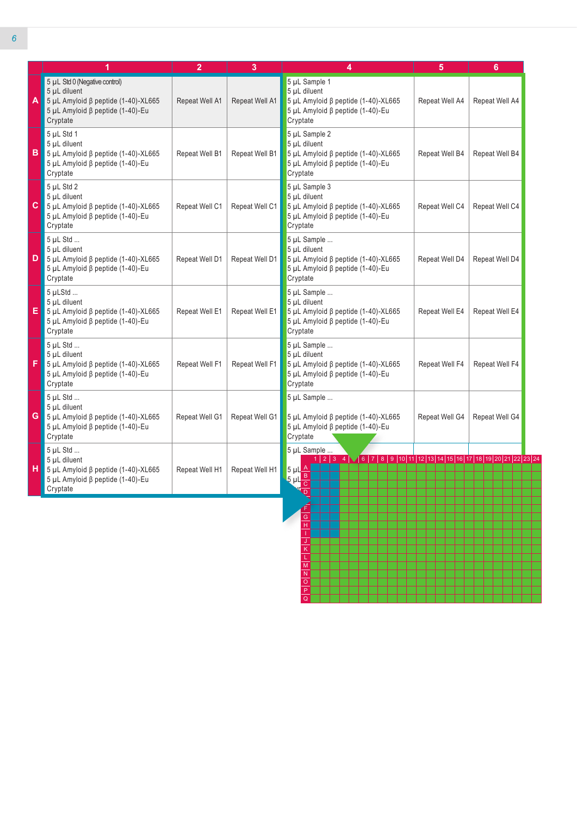|   | 1                                                                                                                                            | $\overline{2}$ | 3              | 4                                                                                                                          | 5              | 6              |
|---|----------------------------------------------------------------------------------------------------------------------------------------------|----------------|----------------|----------------------------------------------------------------------------------------------------------------------------|----------------|----------------|
| A | 5 µL Std 0 (Negative control)<br>5 µL diluent<br>$5$ µL Amyloid $\beta$ peptide (1-40)-XL665<br>5 μL Amyloid β peptide (1-40)-Eu<br>Cryptate | Repeat Well A1 | Repeat Well A1 | 5 µL Sample 1<br>5 µL diluent<br>5 µL Amyloid ß peptide (1-40)-XL665<br>5 μL Amyloid β peptide (1-40)-Eu<br>Cryptate       | Repeat Well A4 | Repeat Well A4 |
| в | 5 µL Std 1<br>5 µL diluent<br>5 μL Amyloid β peptide $(1-40)$ -XL665<br>5 μL Amyloid β peptide (1-40)-Eu<br>Cryptate                         | Repeat Well B1 | Repeat Well B1 | 5 µL Sample 2<br>5 µL diluent<br>5 µL Amyloid β peptide (1-40)-XL665<br>5 μL Amyloid β peptide (1-40)-Eu<br>Cryptate       | Repeat Well B4 | Repeat Well B4 |
| С | 5 µL Std 2<br>5 µL diluent<br>$5$ µL Amyloid $\beta$ peptide (1-40)-XL665<br>5 μL Amyloid β peptide (1-40)-Eu<br>Cryptate                    | Repeat Well C1 | Repeat Well C1 | 5 µL Sample 3<br>5 µL diluent<br>5 µL Amyloid $\beta$ peptide (1-40)-XL665<br>5 μL Amyloid β peptide (1-40)-Eu<br>Cryptate | Repeat Well C4 | Repeat Well C4 |
| D | 5 µL Std<br>5 µL diluent<br>$5$ µL Amyloid $\beta$ peptide (1-40)-XL665<br>5 μL Amyloid β peptide (1-40)-Eu<br>Cryptate                      | Repeat Well D1 | Repeat Well D1 | 5 µL Sample<br>5 µL diluent<br>5 µL Amyloid β peptide (1-40)-XL665<br>5 μL Amyloid β peptide (1-40)-Eu<br>Cryptate         | Repeat Well D4 | Repeat Well D4 |
| E | 5 µLStd<br>5 µL diluent<br>5 μL Amyloid β peptide $(1-40)$ -XL665<br>5 μL Amyloid β peptide (1-40)-Eu<br>Cryptate                            | Repeat Well E1 | Repeat Well E1 | 5 µL Sample<br>5 µL diluent<br>5 µL Amyloid β peptide (1-40)-XL665<br>5 μL Amyloid β peptide (1-40)-Eu<br>Cryptate         | Repeat Well E4 | Repeat Well E4 |
| F | 5 µL Std<br>5 µL diluent<br>5 μL Amyloid β peptide $(1-40)$ -XL665<br>5 μL Amyloid β peptide (1-40)-Eu<br>Cryptate                           | Repeat Well F1 | Repeat Well F1 | 5 µL Sample<br>5 µL diluent<br>5 µL Amyloid β peptide (1-40)-XL665<br>5 μL Amyloid β peptide (1-40)-Eu<br>Cryptate         | Repeat Well F4 | Repeat Well F4 |
| G | 5 µL Std<br>5 µL diluent<br>$5$ µL Amyloid $\beta$ peptide (1-40)-XL665<br>5 μL Amyloid β peptide (1-40)-Eu<br>Cryptate                      | Repeat Well G1 | Repeat Well G1 | 5 µL Sample<br>5 µL Amyloid β peptide (1-40)-XL665<br>5 μL Amyloid β peptide (1-40)-Eu<br>Cryptate                         | Repeat Well G4 | Repeat Well G4 |
| н | 5 µL Std<br>5 µL diluent<br>5 μL Amyloid β peptide $(1-40)$ -XL665<br>5 μL Amyloid β peptide (1-40)-Eu<br>Cryptate                           | Repeat Well H1 | Repeat Well H1 | 5 µL Sample<br>$5 \mu L \underline{A}$<br>$rac{1}{5}$ $\mu$ $\frac{B}{C}$<br>$\overline{\mathbf{p}}$                       |                |                |

L M N O P Q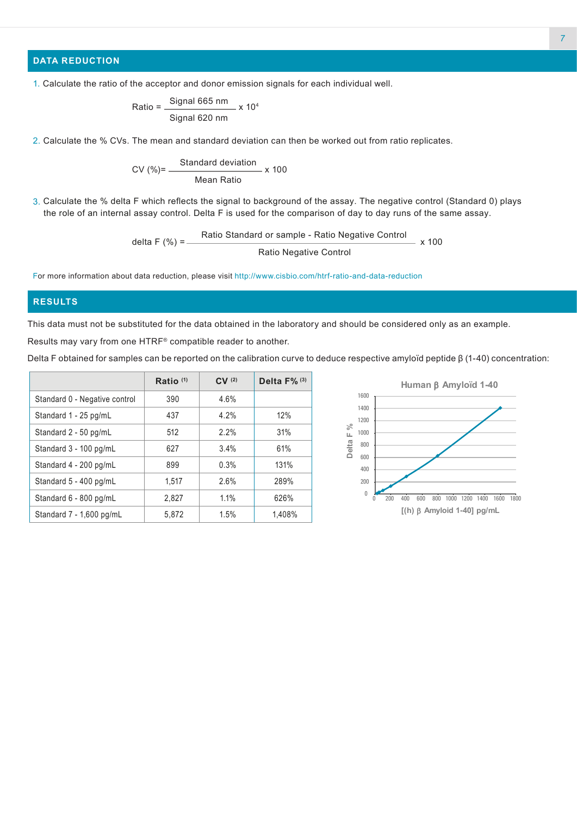## **DATA REDUCTION**

Ratio = 
$$
\frac{\text{Signal 665 nm}}{\text{Signal 620 nm}} \times 10^4
$$

2. Calculate the % CVs. The mean and standard deviation can then be worked out from ratio replicates.

$$
CV (%) = \frac{Standard deviation}{Mean Ratio} \times 100
$$

3. Calculate the % delta F which reflects the signal to background of the assay. The negative control (Standard 0) plays the role of an internal assay control. Delta F is used for the comparison of day to day runs of the same assay.

delta F (%) = Ratio Standard or sample - Ratio Negative Control Ratio Negative Control x 100

For more information about data reduction, please visit http://www.cisbio.com/htrf-ratio-and-data-reduction

#### **RESULTS**

This data must not be substituted for the data obtained in the laboratory and should be considered only as an example.

Results may vary from one HTRF® compatible reader to another.

Delta F obtained for samples can be reported on the calibration curve to deduce respective amyloïd peptide  $β$  (1-40) concentration:

|                               | Ratio $(1)$ | CV(2) | Delta F% <sup>(3)</sup> |
|-------------------------------|-------------|-------|-------------------------|
| Standard 0 - Negative control | 390         | 4.6%  |                         |
| Standard 1 - 25 pg/mL         | 437         | 4.2%  | 12%                     |
| Standard 2 - 50 pg/mL         | 512         | 2.2%  | 31%                     |
| Standard 3 - 100 pg/mL        | 627         | 3.4%  | 61%                     |
| Standard 4 - 200 pg/mL        | 899         | 0.3%  | 131%                    |
| Standard 5 - 400 pg/mL        | 1,517       | 2.6%  | 289%                    |
| Standard 6 - 800 pg/mL        | 2.827       | 1.1%  | 626%                    |
| Standard $7 - 1,600$ pg/mL    | 5,872       | 1.5%  | 1,408%                  |